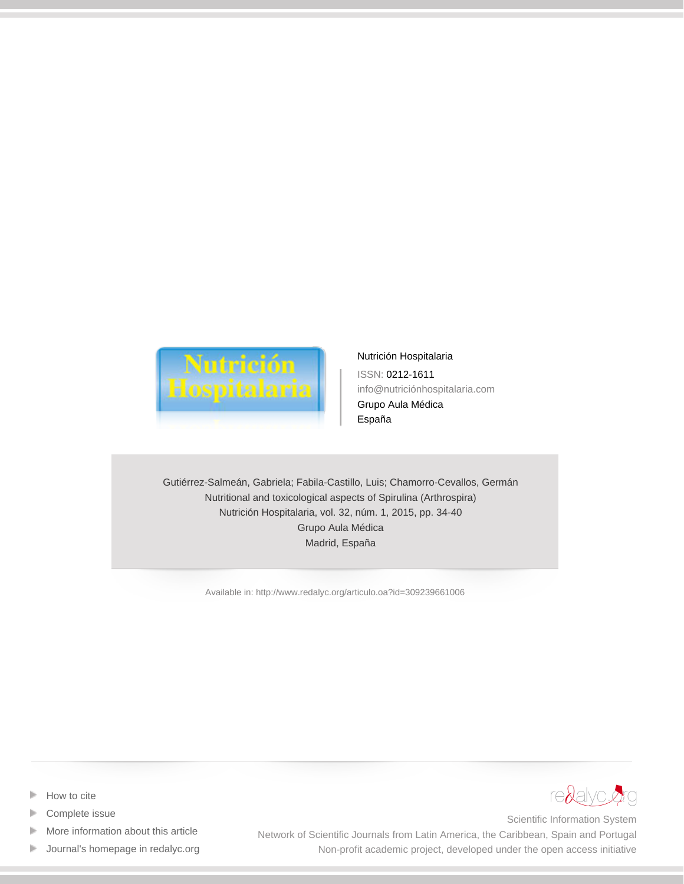

[Nutrición Hospitalaria](http://www.redalyc.org/revista.oa?id=3092) ISSN: 0212-1611 info@nutriciónhospitalaria.com Grupo Aula Médica España

Gutiérrez-Salmeán, Gabriela; Fabila-Castillo, Luis; Chamorro-Cevallos, Germán Nutritional and toxicological aspects of Spirulina (Arthrospira) Nutrición Hospitalaria, vol. 32, núm. 1, 2015, pp. 34-40 Grupo Aula Médica Madrid, España

[Available in: http://www.redalyc.org/articulo.oa?id=309239661006](http://www.redalyc.org/articulo.oa?id=309239661006)



- [Complete issue](http://www.redalyc.org/fasciculo.oa?id=3092&numero=39661)
- [More information about this article](http://www.redalyc.org/articulo.oa?id=309239661006) Þ
- [Journal's homepage in redalyc.org](http://www.redalyc.org/revista.oa?id=3092)  $\mathbb P$



Scientific Information System Network of Scientific Journals from Latin America, the Caribbean, Spain and Portugal Non-profit academic project, developed under the open access initiative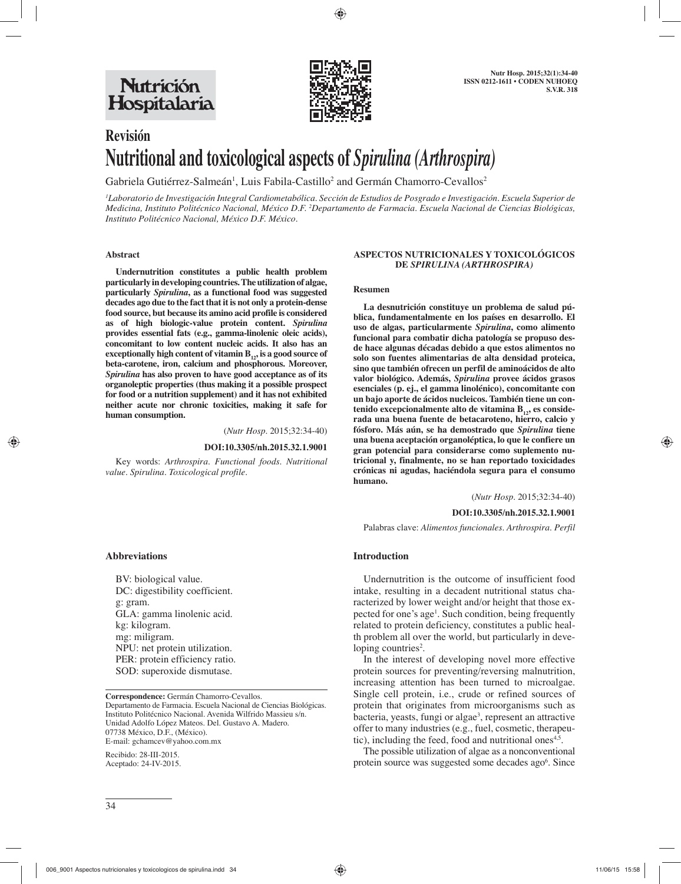

# **Revisión Nutritional and toxicological aspects of** *Spirulina (Arthrospira)*

Gabriela Gutiérrez-Salmeán<sup>1</sup>, Luis Fabila-Castillo<sup>2</sup> and Germán Chamorro-Cevallos<sup>2</sup>

*1 Laboratorio de Investigación Integral Cardiometabólica. Sección de Estudios de Posgrado e Investigación. Escuela Superior de Medicina, Instituto Politécnico Nacional, México D.F. 2 Departamento de Farmacia. Escuela Nacional de Ciencias Biológicas, Instituto Politécnico Nacional, México D.F. México.*

#### **Abstract**

 **Undernutrition constitutes a public health problem particularly in developing countries. The utilization of algae, particularly** *Spirulina***, as a functional food was suggested decades ago due to the fact that it is not only a protein-dense food source, but because its amino acid profile is considered as of high biologic-value protein content.** *Spirulina* **provides essential fats (e.g., gamma-linolenic oleic acids), concomitant to low content nucleic acids. It also has an**  exceptionally high content of vitamin B<sub>12</sub>, is a good source of **beta-carotene, iron, calcium and phosphorous. Moreover,**  *Spirulina* **has also proven to have good acceptance as of its organoleptic properties (thus making it a possible prospect for food or a nutrition supplement) and it has not exhibited neither acute nor chronic toxicities, making it safe for human consumption.** 

(*Nutr Hosp.* 2015;32:34-40)

#### **DOI:10.3305/nh.2015.32.1.9001**

Key words: *Arthrospira. Functional foods. Nutritional value. Spirulina. Toxicological profile.*

#### **ASPECTOS NUTRICIONALES Y TOXICOLÓGICOS DE** *SPIRULINA (ARTHROSPIRA)*

#### **Resumen**

 **La desnutrición constituye un problema de salud pública, fundamentalmente en los países en desarrollo. El uso de algas, particularmente** *Spirulina***, como alimento funcional para combatir dicha patología se propuso desde hace algunas décadas debido a que estos alimentos no solo son fuentes alimentarias de alta densidad proteica, sino que también ofrecen un perfil de aminoácidos de alto valor biológico. Además,** *Spirulina* **provee ácidos grasos esenciales (p. ej., el gamma linolénico), concomitante con un bajo aporte de ácidos nucleicos. También tiene un con**tenido excepcionalmente alto de vitamina B<sub>12</sub>, es conside**rada una buena fuente de betacaroteno, hierro, calcio y fósforo. Más aún, se ha demostrado que** *Spirulina* **tiene una buena aceptación organoléptica, lo que le confiere un gran potencial para considerarse como suplemento nutricional y, finalmente, no se han reportado toxicidades crónicas ni agudas, haciéndola segura para el consumo humano.** 

(*Nutr Hosp.* 2015;32:34-40)

**DOI:10.3305/nh.2015.32.1.9001**

Palabras clave: *Alimentos funcionales. Arthrospira. Perfil* 

#### **Introduction**

Undernutrition is the outcome of insufficient food intake, resulting in a decadent nutritional status characterized by lower weight and/or height that those expected for one's age<sup>1</sup>. Such condition, being frequently related to protein deficiency, constitutes a public health problem all over the world, but particularly in developing countries<sup>2</sup>.

In the interest of developing novel more effective protein sources for preventing/reversing malnutrition, increasing attention has been turned to microalgae. Single cell protein, i.e., crude or refined sources of protein that originates from microorganisms such as bacteria, yeasts, fungi or algae<sup>3</sup>, represent an attractive offer to many industries (e.g., fuel, cosmetic, therapeutic), including the feed, food and nutritional ones<sup> $4,5$ </sup>.

The possible utilization of algae as a nonconventional protein source was suggested some decades ago<sup>6</sup>. Since

#### **Abbreviations**

BV: biological value. DC: digestibility coefficient. g: gram. GLA: gamma linolenic acid. kg: kilogram. mg: miligram. NPU: net protein utilization. PER: protein efficiency ratio. SOD: superoxide dismutase.

**Correspondence:** Germán Chamorro-Cevallos. Departamento de Farmacia. Escuela Nacional de Ciencias Biológicas. Instituto Politécnico Nacional. Avenida Wilfrido Massieu s/n. Unidad Adolfo López Mateos. Del. Gustavo A. Madero. 07738 México, D.F., (México). E-mail: gchamcev@yahoo.com.mx

Recibido: 28-III-2015. Aceptado: 24-IV-2015.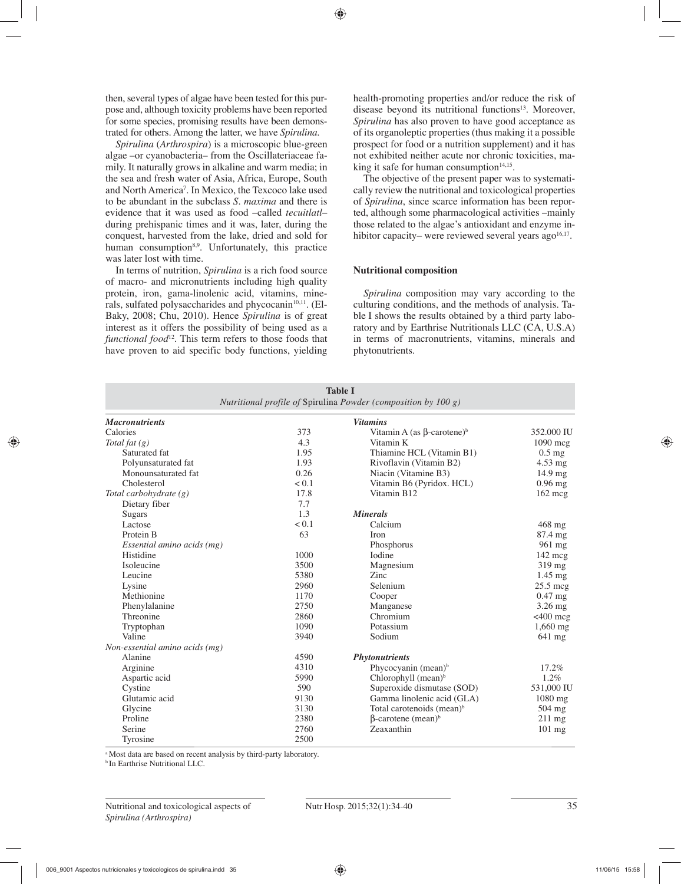then, several types of algae have been tested for this purpose and, although toxicity problems have been reported for some species, promising results have been demonstrated for others. Among the latter, we have *Spirulina*.

*Spirulina* (*Arthrospira*) is a microscopic blue-green algae –or cyanobacteria– from the Oscillateriaceae family. It naturally grows in alkaline and warm media; in the sea and fresh water of Asia, Africa, Europe, South and North America7 . In Mexico, the Texcoco lake used to be abundant in the subclass *S. maxima* and there is evidence that it was used as food –called *tecuitlatl*– during prehispanic times and it was, later, during the conquest, harvested from the lake, dried and sold for human consumption<sup>8,9</sup>. Unfortunately, this practice was later lost with time.

In terms of nutrition, *Spirulina* is a rich food source of macro- and micronutrients including high quality protein, iron, gama-linolenic acid, vitamins, minerals, sulfated polysaccharides and phycocanin $10,11$ . (El-Baky, 2008; Chu, 2010). Hence *Spirulina* is of great interest as it offers the possibility of being used as a *functional food*12. This term refers to those foods that have proven to aid specific body functions, yielding health-promoting properties and/or reduce the risk of disease beyond its nutritional functions<sup>13</sup>. Moreover, *Spirulina* has also proven to have good acceptance as of its organoleptic properties (thus making it a possible prospect for food or a nutrition supplement) and it has not exhibited neither acute nor chronic toxicities, making it safe for human consumption<sup>14,15</sup>.

The objective of the present paper was to systematically review the nutritional and toxicological properties of *Spirulina*, since scarce information has been reported, although some pharmacological activities –mainly those related to the algae's antioxidant and enzyme inhibitor capacity– were reviewed several years ago<sup>16,17</sup>.

## **Nutritional composition**

*Spirulina* composition may vary according to the culturing conditions, and the methods of analysis. Table I shows the results obtained by a third party laboratory and by Earthrise Nutritionals LLC (CA, U.S.A) in terms of macronutrients, vitamins, minerals and phytonutrients.

| <b>Table I</b><br>Nutritional profile of Spirulina Powder (composition by 100 g) |       |                                               |                   |  |
|----------------------------------------------------------------------------------|-------|-----------------------------------------------|-------------------|--|
| <b>Macronutrients</b>                                                            |       | <b>Vitamins</b>                               |                   |  |
| Calories                                                                         | 373   | Vitamin A (as $\beta$ -carotene) <sup>b</sup> | 352,000 IU        |  |
| Total fat $(g)$                                                                  | 4.3   | Vitamin K                                     | 1090 mcg          |  |
| Saturated fat                                                                    | 1.95  | Thiamine HCL (Vitamin B1)                     | $0.5$ mg          |  |
| Polyunsaturated fat                                                              | 1.93  | Rivoflavin (Vitamin B2)                       | $4.53$ mg         |  |
| Monounsaturated fat                                                              | 0.26  | Niacin (Vitamine B3)                          | $14.9 \text{ mg}$ |  |
| Cholesterol                                                                      | < 0.1 | Vitamin B6 (Pyridox. HCL)                     | $0.96$ mg         |  |
| Total carbohydrate $(g)$                                                         | 17.8  | Vitamin B12                                   | $162 \text{~mag}$ |  |
| Dietary fiber                                                                    | 7.7   |                                               |                   |  |
| <b>Sugars</b>                                                                    | 1.3   | <b>Minerals</b>                               |                   |  |
| Lactose                                                                          | < 0.1 | Calcium                                       | $468$ mg          |  |
| Protein B                                                                        | 63    | Iron                                          | 87.4 mg           |  |
| Essential amino acids (mg)                                                       |       | Phosphorus                                    | $961 \text{ mg}$  |  |
| Histidine                                                                        | 1000  | <b>I</b> odine                                | $142 \text{ mcg}$ |  |
| Isoleucine                                                                       | 3500  | Magnesium                                     | 319 mg            |  |
| Leucine                                                                          | 5380  | Zinc                                          | $1.45$ mg         |  |
| Lysine                                                                           | 2960  | Selenium                                      | $25.5$ mcg        |  |
| Methionine                                                                       | 1170  | Cooper                                        | $0.47$ mg         |  |
| Phenylalanine                                                                    | 2750  | Manganese                                     | 3.26 mg           |  |
| Threonine                                                                        | 2860  | Chromium                                      | $<$ 400 mcg       |  |
| Tryptophan                                                                       | 1090  | Potassium                                     | 1,660 mg          |  |
| Valine                                                                           | 3940  | Sodium                                        | 641 mg            |  |
| Non-essential amino acids (mg)                                                   |       |                                               |                   |  |
| Alanine                                                                          | 4590  | <b>Phytonutrients</b>                         |                   |  |
| Arginine                                                                         | 4310  | Phycocyanin (mean) <sup>b</sup>               | 17.2%             |  |
| Aspartic acid                                                                    | 5990  | Chlorophyll (mean) <sup>b</sup>               | 1.2%              |  |
| Cystine                                                                          | 590   | Superoxide dismutase (SOD)                    | 531,000 IU        |  |
| Glutamic acid                                                                    | 9130  | Gamma linolenic acid (GLA)                    | 1080 mg           |  |
| Glycine                                                                          | 3130  | Total carotenoids (mean) <sup>b</sup>         | $504$ mg          |  |
| Proline                                                                          | 2380  | $\beta$ -carotene (mean) <sup>b</sup>         | $211 \text{ mg}$  |  |
| Serine                                                                           | 2760  | Zeaxanthin                                    | $101$ mg          |  |
| Tyrosine                                                                         | 2500  |                                               |                   |  |

<sup>a</sup> Most data are based on recent analysis by third-party laboratory.

**b** In Earthrise Nutritional LLC.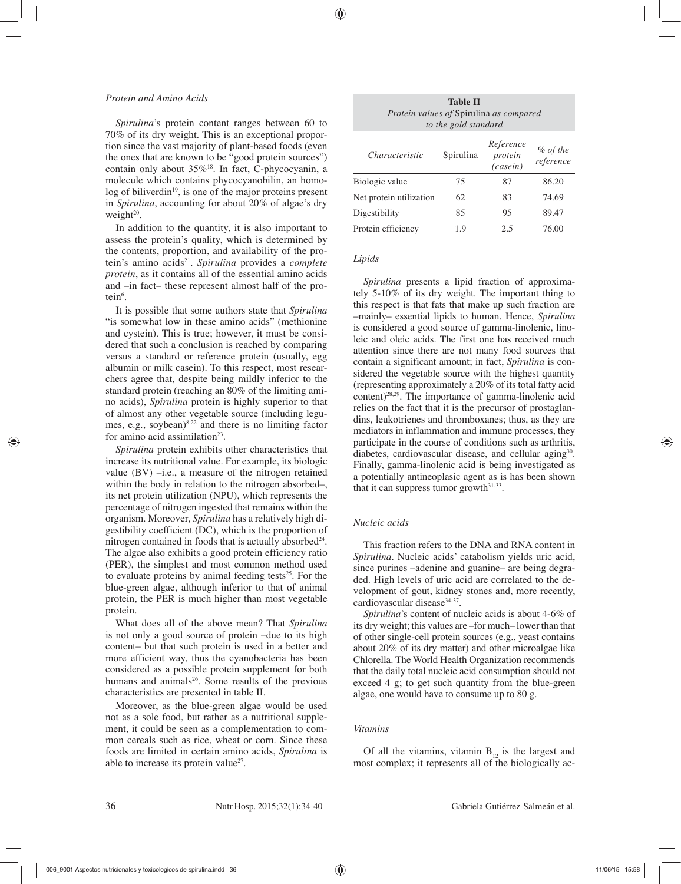## *Protein and Amino Acids*

*Spirulina*'s protein content ranges between 60 to 70% of its dry weight. This is an exceptional proportion since the vast majority of plant-based foods (even the ones that are known to be "good protein sources") contain only about  $35\%^{18}$ . In fact, C-phycocyanin, a molecule which contains phycocyanobilin, an homo $log$  of biliverdin<sup>19</sup>, is one of the major proteins present in *Spirulina*, accounting for about 20% of algae's dry weight $20$ .

In addition to the quantity, it is also important to assess the protein's quality, which is determined by the contents, proportion, and availability of the protein's amino acids<sup>21</sup>. *Spirulina* provides a *complete protein*, as it contains all of the essential amino acids and –in fact– these represent almost half of the protein $6$ .

It is possible that some authors state that *Spirulina* "is somewhat low in these amino acids" (methionine and cystein). This is true; however, it must be considered that such a conclusion is reached by comparing versus a standard or reference protein (usually, egg albumin or milk casein). To this respect, most researchers agree that, despite being mildly inferior to the standard protein (reaching an 80% of the limiting amino acids), *Spirulina* protein is highly superior to that of almost any other vegetable source (including legumes, e.g., soybean) $8,22$  and there is no limiting factor for amino acid assimilation<sup>23</sup>.

*Spirulina* protein exhibits other characteristics that increase its nutritional value. For example, its biologic value (BV) –i.e., a measure of the nitrogen retained within the body in relation to the nitrogen absorbed–, its net protein utilization (NPU), which represents the percentage of nitrogen ingested that remains within the organism. Moreover, *Spirulina* has a relatively high digestibility coefficient (DC), which is the proportion of nitrogen contained in foods that is actually absorbed<sup>24</sup>. The algae also exhibits a good protein efficiency ratio (PER), the simplest and most common method used to evaluate proteins by animal feeding tests<sup>25</sup>. For the blue-green algae, although inferior to that of animal protein, the PER is much higher than most vegetable protein.

What does all of the above mean? That *Spirulina* is not only a good source of protein –due to its high content– but that such protein is used in a better and more efficient way, thus the cyanobacteria has been considered as a possible protein supplement for both humans and animals<sup>26</sup>. Some results of the previous characteristics are presented in table II.

Moreover, as the blue-green algae would be used not as a sole food, but rather as a nutritional supplement, it could be seen as a complementation to common cereals such as rice, wheat or corn. Since these foods are limited in certain amino acids, *Spirulina* is able to increase its protein value<sup>27</sup>.

| <b>Table II</b><br>Protein values of Spirulina as compared<br>to the gold standard |           |                                  |                          |  |
|------------------------------------------------------------------------------------|-----------|----------------------------------|--------------------------|--|
| Characteristic                                                                     | Spirulina | Reference<br>protein<br>(casein) | $\%$ of the<br>reference |  |
| Biologic value                                                                     | 75        | 87                               | 86.20                    |  |
| Net protein utilization                                                            | 62        | 83                               | 74.69                    |  |
| Digestibility                                                                      | 85        | 95                               | 89.47                    |  |
| Protein efficiency                                                                 | 1.9       | 2.5                              | 76.00                    |  |

## *Lipids*

*Spirulina* presents a lipid fraction of approximately 5-10% of its dry weight. The important thing to this respect is that fats that make up such fraction are –mainly– essential lipids to human. Hence, *Spirulina* is considered a good source of gamma-linolenic, linoleic and oleic acids. The first one has received much attention since there are not many food sources that contain a significant amount; in fact, *Spirulina* is considered the vegetable source with the highest quantity (representing approximately a 20% of its total fatty acid content)28,29. The importance of gamma-linolenic acid relies on the fact that it is the precursor of prostaglandins, leukotrienes and thromboxanes; thus, as they are mediators in inflammation and immune processes, they participate in the course of conditions such as arthritis, diabetes, cardiovascular disease, and cellular aging<sup>30</sup>. Finally, gamma-linolenic acid is being investigated as a potentially antineoplasic agent as is has been shown that it can suppress tumor growth $31-33$ .

# *Nucleic acids*

This fraction refers to the DNA and RNA content in *Spirulina*. Nucleic acids' catabolism yields uric acid, since purines –adenine and guanine– are being degraded. High levels of uric acid are correlated to the development of gout, kidney stones and, more recently, cardiovascular disease<sup>34-37</sup>.

*Spirulina*'s content of nucleic acids is about 4-6% of its dry weight; this values are –for much– lower than that of other single-cell protein sources (e.g., yeast contains about 20% of its dry matter) and other microalgae like Chlorella. The World Health Organization recommends that the daily total nucleic acid consumption should not exceed 4 g; to get such quantity from the blue-green algae, one would have to consume up to 80 g.

# *Vitamins*

Of all the vitamins, vitamin  $B_{12}$  is the largest and most complex; it represents all of the biologically ac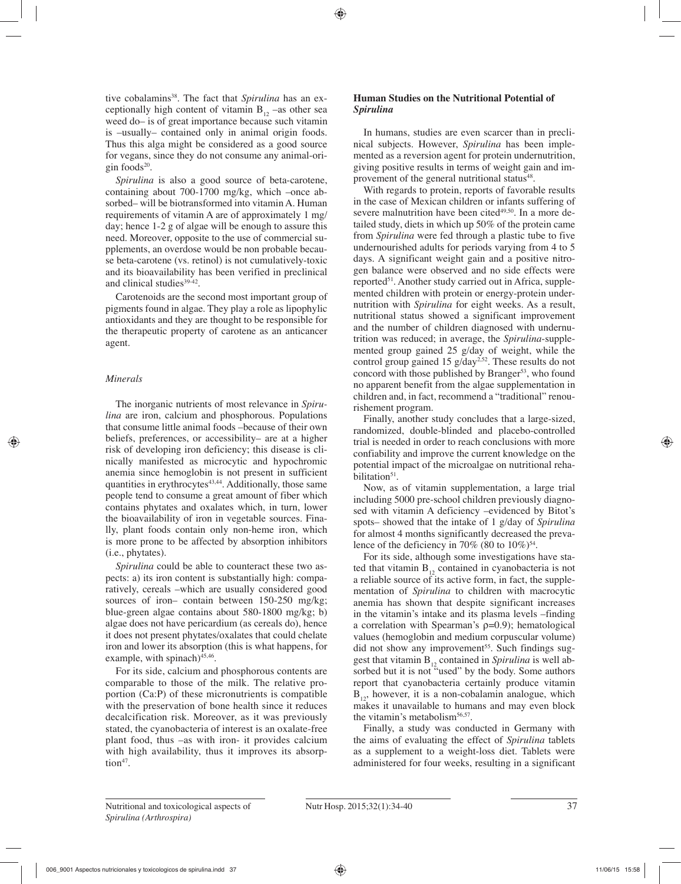tive cobalamins<sup>38</sup>. The fact that *Spirulina* has an exceptionally high content of vitamin  $B_{12}$  –as other sea weed do– is of great importance because such vitamin is –usually– contained only in animal origin foods. Thus this alga might be considered as a good source for vegans, since they do not consume any animal-origin foods<sup>20</sup>.

*Spirulina* is also a good source of beta-carotene, containing about 700-1700 mg/kg, which –once absorbed– will be biotransformed into vitamin A. Human requirements of vitamin A are of approximately 1 mg/ day; hence 1-2 g of algae will be enough to assure this need. Moreover, opposite to the use of commercial supplements, an overdose would be non probable because beta-carotene (vs. retinol) is not cumulatively-toxic and its bioavailability has been verified in preclinical and clinical studies<sup>39-42</sup>.

Carotenoids are the second most important group of pigments found in algae. They play a role as lipophylic antioxidants and they are thought to be responsible for the therapeutic property of carotene as an anticancer agent.

# *Minerals*

The inorganic nutrients of most relevance in *Spirulina* are iron, calcium and phosphorous. Populations that consume little animal foods –because of their own beliefs, preferences, or accessibility– are at a higher risk of developing iron deficiency; this disease is clinically manifested as microcytic and hypochromic anemia since hemoglobin is not present in sufficient quantities in erythrocytes<sup>43,44</sup>. Additionally, those same people tend to consume a great amount of fiber which contains phytates and oxalates which, in turn, lower the bioavailability of iron in vegetable sources. Finally, plant foods contain only non-heme iron, which is more prone to be affected by absorption inhibitors (i.e., phytates).

*Spirulina* could be able to counteract these two aspects: a) its iron content is substantially high: comparatively, cereals –which are usually considered good sources of iron– contain between 150-250 mg/kg; blue-green algae contains about 580-1800 mg/kg; b) algae does not have pericardium (as cereals do), hence it does not present phytates/oxalates that could chelate iron and lower its absorption (this is what happens, for example, with spinach) $45,46$ .

For its side, calcium and phosphorous contents are comparable to those of the milk. The relative proportion (Ca:P) of these micronutrients is compatible with the preservation of bone health since it reduces decalcification risk. Moreover, as it was previously stated, the cyanobacteria of interest is an oxalate-free plant food, thus –as with iron- it provides calcium with high availability, thus it improves its absorp $tion<sup>47</sup>$ .

# **Human Studies on the Nutritional Potential of**  *Spirulina*

In humans, studies are even scarcer than in preclinical subjects. However, *Spirulina* has been implemented as a reversion agent for protein undernutrition, giving positive results in terms of weight gain and improvement of the general nutritional status<sup>48</sup>.

With regards to protein, reports of favorable results in the case of Mexican children or infants suffering of severe malnutrition have been cited $49,50$ . In a more detailed study, diets in which up 50% of the protein came from *Spirulina* were fed through a plastic tube to five undernourished adults for periods varying from 4 to 5 days. A significant weight gain and a positive nitrogen balance were observed and no side effects were reported<sup>51</sup>. Another study carried out in Africa, supplemented children with protein or energy-protein undernutrition with *Spirulina* for eight weeks. As a result, nutritional status showed a significant improvement and the number of children diagnosed with undernutrition was reduced; in average, the *Spirulina*-supplemented group gained 25 g/day of weight, while the control group gained 15  $g/day^{2,52}$ . These results do not concord with those published by Branger<sup>53</sup>, who found no apparent benefit from the algae supplementation in children and, in fact, recommend a "traditional" renourishement program.

Finally, another study concludes that a large-sized, randomized, double-blinded and placebo-controlled trial is needed in order to reach conclusions with more confiability and improve the current knowledge on the potential impact of the microalgae on nutritional rehabilitation<sup>51</sup>.

Now, as of vitamin supplementation, a large trial including 5000 pre-school children previously diagnosed with vitamin A deficiency –evidenced by Bitot's spots– showed that the intake of 1 g/day of *Spirulina* for almost 4 months significantly decreased the prevalence of the deficiency in 70% (80 to  $10\%$ )<sup>54</sup>.

For its side, although some investigations have stated that vitamin  $B_{12}$  contained in cyanobacteria is not a reliable source of its active form, in fact, the supplementation of *Spirulina* to children with macrocytic anemia has shown that despite significant increases in the vitamin's intake and its plasma levels –finding a correlation with Spearman's  $p=0.9$ ; hematological values (hemoglobin and medium corpuscular volume)  $\rm{did}$  not show any improvement<sup>55</sup>. Such findings suggest that vitamin B12 contained in *Spirulina* is well absorbed but it is not "used" by the body. Some authors report that cyanobacteria certainly produce vitamin  $B_{12}$ , however, it is a non-cobalamin analogue, which makes it unavailable to humans and may even block the vitamin's metabolism<sup>56,57</sup>.

Finally, a study was conducted in Germany with the aims of evaluating the effect of *Spirulina* tablets as a supplement to a weight-loss diet. Tablets were administered for four weeks, resulting in a significant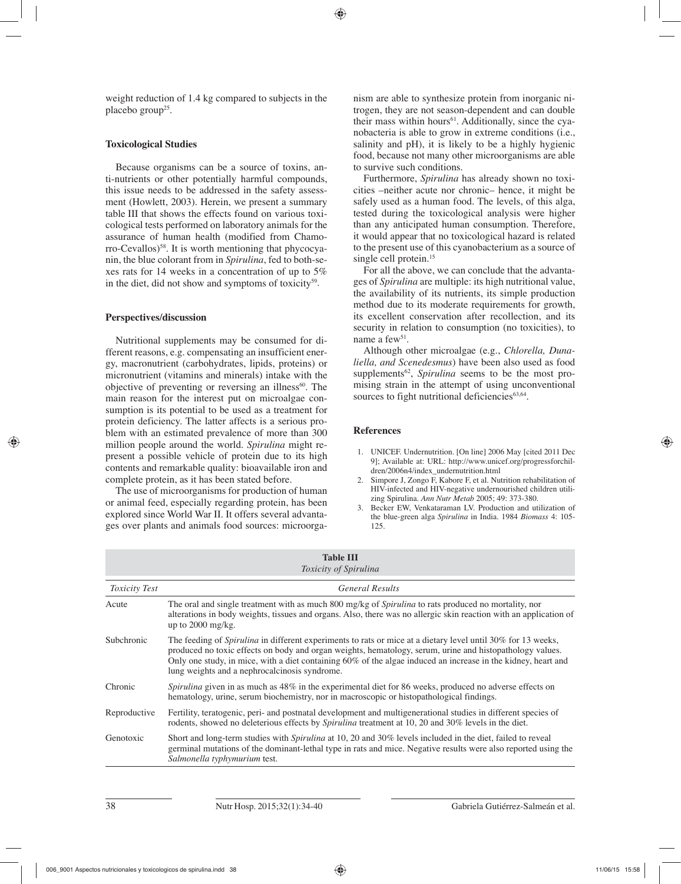weight reduction of 1.4 kg compared to subjects in the placebo group<sup>25</sup>.

## **Toxicological Studies**

Because organisms can be a source of toxins, anti-nutrients or other potentially harmful compounds, this issue needs to be addressed in the safety assessment (Howlett, 2003). Herein, we present a summary table III that shows the effects found on various toxicological tests performed on laboratory animals for the assurance of human health (modified from Chamo $r\sigma$ -Cevallos)<sup>58</sup>. It is worth mentioning that phycocyanin, the blue colorant from in *Spirulina*, fed to both-sexes rats for 14 weeks in a concentration of up to 5% in the diet, did not show and symptoms of toxicity $59$ .

## **Perspectives/discussion**

Nutritional supplements may be consumed for different reasons, e.g. compensating an insufficient energy, macronutrient (carbohydrates, lipids, proteins) or micronutrient (vitamins and minerals) intake with the objective of preventing or reversing an illness $60$ . The main reason for the interest put on microalgae consumption is its potential to be used as a treatment for protein deficiency. The latter affects is a serious problem with an estimated prevalence of more than 300 million people around the world. *Spirulina* might represent a possible vehicle of protein due to its high contents and remarkable quality: bioavailable iron and complete protein, as it has been stated before.

The use of microorganisms for production of human or animal feed, especially regarding protein, has been explored since World War II. It offers several advantages over plants and animals food sources: microorganism are able to synthesize protein from inorganic nitrogen, they are not season-dependent and can double their mass within hours<sup>61</sup>. Additionally, since the cyanobacteria is able to grow in extreme conditions (i.e., salinity and pH), it is likely to be a highly hygienic food, because not many other microorganisms are able to survive such conditions.

Furthermore, *Spirulina* has already shown no toxicities –neither acute nor chronic– hence, it might be safely used as a human food. The levels, of this alga, tested during the toxicological analysis were higher than any anticipated human consumption. Therefore, it would appear that no toxicological hazard is related to the present use of this cyanobacterium as a source of single cell protein.<sup>15</sup>

For all the above, we can conclude that the advantages of *Spirulina* are multiple: its high nutritional value, the availability of its nutrients, its simple production method due to its moderate requirements for growth, its excellent conservation after recollection, and its security in relation to consumption (no toxicities), to name a few<sup>51</sup>.

Although other microalgae (e.g., *Chlorella, Dunaliella, and Scenedesmus*) have been also used as food supplements<sup>62</sup>, *Spirulina* seems to be the most promising strain in the attempt of using unconventional sources to fight nutritional deficiencies $63,64$ .

## **References**

- 1. UNICEF. Undernutrition. [On line] 2006 May [cited 2011 Dec 9]; Available at: URL: http://www.unicef.org/progressforchildren/2006n4/index\_undernutrition.html
- 2. Simpore J, Zongo F, Kabore F, et al. Nutrition rehabilitation of HIV-infected and HIV-negative undernourished children utilizing Spirulina. *Ann Nutr Metab* 2005; 49: 373-380.
- 3. Becker EW, Venkataraman LV. Production and utilization of the blue-green alga *Spirulina* in India. 1984 *Biomass* 4: 105- 125.

| <b>Table III</b><br>Toxicity of Spirulina |                                                                                                                                                                                                                                                                                                                                                                                                   |  |  |
|-------------------------------------------|---------------------------------------------------------------------------------------------------------------------------------------------------------------------------------------------------------------------------------------------------------------------------------------------------------------------------------------------------------------------------------------------------|--|--|
| <b>Toxicity Test</b>                      | <b>General Results</b>                                                                                                                                                                                                                                                                                                                                                                            |  |  |
| Acute                                     | The oral and single treatment with as much 800 mg/kg of <i>Spirulina</i> to rats produced no mortality, nor<br>alterations in body weights, tissues and organs. Also, there was no allergic skin reaction with an application of<br>up to $2000$ mg/kg.                                                                                                                                           |  |  |
| Subchronic                                | The feeding of <i>Spirulina</i> in different experiments to rats or mice at a dietary level until 30% for 13 weeks,<br>produced no toxic effects on body and organ weights, hematology, serum, urine and histopathology values.<br>Only one study, in mice, with a diet containing 60% of the algae induced an increase in the kidney, heart and<br>lung weights and a nephrocalcinosis syndrome. |  |  |
| Chronic                                   | <i>Spirulina</i> given in as much as 48% in the experimental diet for 86 weeks, produced no adverse effects on<br>hematology, urine, serum biochemistry, nor in macroscopic or histopathological findings.                                                                                                                                                                                        |  |  |
| Reproductive                              | Fertility, teratogenic, peri- and postnatal development and multigenerational studies in different species of<br>rodents, showed no deleterious effects by Spirulina treatment at 10, 20 and 30% levels in the diet.                                                                                                                                                                              |  |  |
| Genotoxic                                 | Short and long-term studies with Spirulina at 10, 20 and 30% levels included in the diet, failed to reveal<br>germinal mutations of the dominant-lethal type in rats and mice. Negative results were also reported using the<br>Salmonella typhymurium test.                                                                                                                                      |  |  |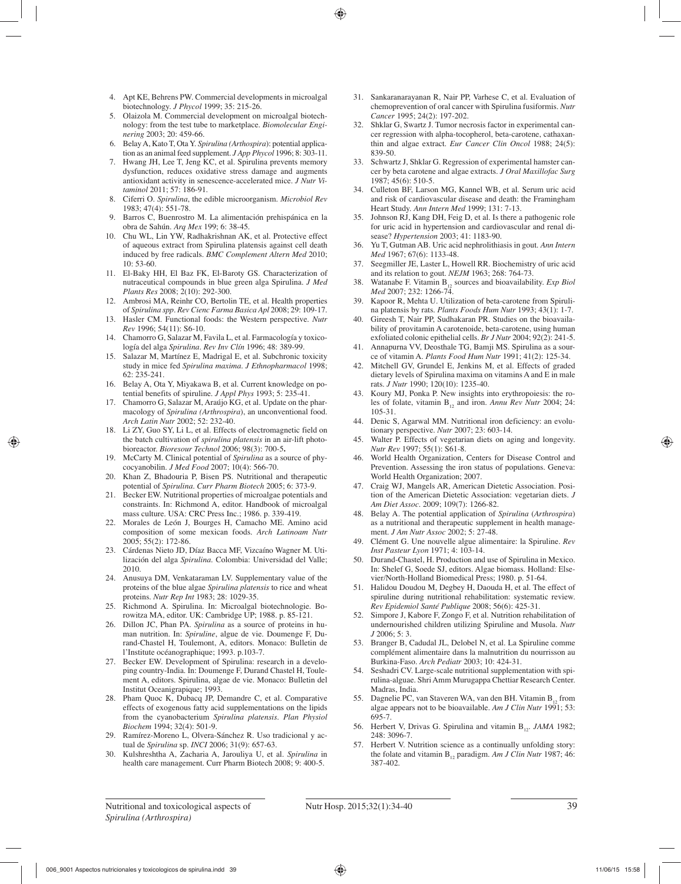- 4. Apt KE, Behrens PW. Commercial developments in microalgal biotechnology. *J Phycol* 1999; 35: 215-26.
- 5. Olaizola M. Commercial development on microalgal biotechnology: from the test tube to marketplace. *Biomolecular Enginering* 2003; 20: 459-66.
- 6. Belay A, Kato T, Ota Y. *Spirulina (Arthospira*): potential application as an animal feed supplement. *J App Phycol* 1996; 8: 303-11.
- 7. Hwang JH, Lee T, Jeng KC, et al. Spirulina prevents memory dysfunction, reduces oxidative stress damage and augments antioxidant activity in senescence-accelerated mice. *J Nutr Vitaminol* 2011; 57: 186-91.
- 8. Ciferri O. *Spirulina*, the edible microorganism. *Microbiol Rev* 1983; 47(4): 551-78.
- 9. Barros C, Buenrostro M. La alimentación prehispánica en la obra de Sahún. *Arq Mex* 199; 6: 38-45.
- 10. Chu WL, Lin YW, Radhakrishnan AK, et al. Protective effect of aqueous extract from Spirulina platensis against cell death induced by free radicals. *BMC Complement Altern Med* 2010; 10: 53-60.
- 11. El-Baky HH, El Baz FK, El-Baroty GS. Characterization of nutraceutical compounds in blue green alga Spirulina. *J Med Plants Res* 2008; 2(10): 292-300.
- 12. Ambrosi MA, Reinhr CO, Bertolin TE, et al. Health properties of *Spirulina spp*. *Rev Cienc Farma Basica Apl* 2008; 29: 109-17.
- 13. Hasler CM. Functional foods: the Western perspective. *Nutr Rev* 1996; 54(11): S6-10.
- 14. Chamorro G, Salazar M, Favila L, et al. Farmacología y toxicología del alga *Spirulina*. *Rev Inv Clín* 1996; 48: 389-99.
- 15. Salazar M, Martínez E, Madrigal E, et al. Subchronic toxicity study in mice fed *Spirulina maxima. J Ethnopharmacol* 1998; 62: 235-241.
- 16. Belay A, Ota Y, Miyakawa B, et al. Current knowledge on potential benefits of spiruline. *J Appl Phys* 1993; 5: 235-41.
- 17. Chamorro G, Salazar M, Araújo KG, et al. Update on the pharmacology of *Spirulina (Arthrospira*), an unconventional food. *Arch Latin Nutr* 2002; 52: 232-40.
- 18. Li ZY, Guo SY, Li L, et al. Effects of electromagnetic field on the batch cultivation of *spirulina platensis* in an air-lift photobioreactor. *Bioresour Technol* 2006; 98(3): 700-5**.**
- 19. McCarty M. Clinical potential of *Spirulina* as a source of phycocyanobilin. *J Med Food* 2007; 10(4): 566-70.
- 20. Khan Z, Bhadouria P, Bisen PS. Nutritional and therapeutic potential of *Spirulina*. *Curr Pharm Biotech* 2005; 6: 373-9.
- 21. Becker EW. Nutritional properties of microalgae potentials and constraints. In: Richmond A, editor. Handbook of microalgal mass culture. USA: CRC Press Inc.; 1986. p. 339-419.
- 22. Morales de León J, Bourges H, Camacho ME. Amino acid composition of some mexican foods. *Arch Latinoam Nutr* 2005; 55(2): 172-86.
- 23. Cárdenas Nieto JD, Díaz Bacca MF, Vizcaíno Wagner M. Utilización del alga *Spirulina*. Colombia: Universidad del Valle; 2010.
- 24. Anusuya DM, Venkataraman LV. Supplementary value of the proteins of the blue algae *Spirulina platensis* to rice and wheat proteins. *Nutr Rep Int* 1983; 28: 1029-35.
- 25. Richmond A. Spirulina. In: Microalgal biotechnologie. Borowitza MA, editor. UK: Cambridge UP; 1988. p. 85-121.
- 26. Dillon JC, Phan PA. *Spirulina* as a source of proteins in human nutrition. In: *Spiruline*, algue de vie. Doumenge F, Durand-Chastel H, Toulemont, A, editors. Monaco: Bulletin de l'Institute océanographique; 1993. p.103-7.
- 27. Becker EW. Development of Spirulina: research in a developing country-India. In: Doumenge F, Durand Chastel H, Toulement A, editors. Spirulina, algae de vie. Monaco: Bulletin del Institut Oceanigrapique; 1993.
- 28. Pham Quoc K, Dubacq JP, Demandre C, et al. Comparative effects of exogenous fatty acid supplementations on the lipids from the cyanobacterium *Spirulina platensis*. *Plan Physiol Biochem* 1994; 32(4): 501-9.
- 29. Ramírez-Moreno L, Olvera-Sánchez R. Uso tradicional y actual de *Spirulina* sp. *INCI* 2006; 31(9): 657-63.
- 30. Kulshreshtha A, Zacharia A, Jarouliya U, et al. *Spirulina* in health care management. Curr Pharm Biotech 2008; 9: 400-5.
- 31. Sankaranarayanan R, Nair PP, Varhese C, et al. Evaluation of chemoprevention of oral cancer with Spirulina fusiformis. *Nutr Cancer* 1995; 24(2): 197-202.
- 32. Shklar G, Swartz J. Tumor necrosis factor in experimental cancer regression with alpha-tocopherol, beta-carotene, cathaxanthin and algae extract. *Eur Cancer Clin Oncol* 1988; 24(5): 839-50.
- 33. Schwartz J, Shklar G. Regression of experimental hamster cancer by beta carotene and algae extracts. *J Oral Maxillofac Surg* 1987; 45(6): 510-5.
- 34. Culleton BF, Larson MG, Kannel WB, et al. Serum uric acid and risk of cardiovascular disease and death: the Framingham Heart Study. *Ann Intern Med* 1999; 131: 7-13.
- 35. Johnson RJ, Kang DH, Feig D, et al. Is there a pathogenic role for uric acid in hypertension and cardiovascular and renal disease? *Hypertension* 2003; 41: 1183-90.
- 36. Yu T, Gutman AB. Uric acid nephrolithiasis in gout. *Ann Intern Med* 1967; 67(6): 1133-48.
- 37. Seegmiller JE, Laster L, Howell RR. Biochemistry of uric acid and its relation to gout. *NEJM* 1963; 268: 764-73.
- 38. Watanabe F. Vitamin B<sub>12</sub> sources and bioavailability. *Exp Biol Med* 2007; 232: 1266-74.
- 39. Kapoor R, Mehta U. Utilization of beta-carotene from Spirulina platensis by rats. *Plants Foods Hum Nutr* 1993; 43(1): 1-7.
- 40. Gireesh T, Nair PP, Sudhakaran PR. Studies on the bioavailability of provitamin A carotenoide, beta-carotene, using human exfoliated colonic epithelial cells. *Br J Nutr* 2004; 92(2): 241-5.
- 41. Annapurna VV, Deosthale TG, Bamji MS. Spirulina as a source of vitamin A. *Plants Food Hum Nutr* 1991; 41(2): 125-34.
- 42. Mitchell GV, Grundel E, Jenkins M, et al. Effects of graded dietary levels of Spirulina maxima on vitamins A and E in male rats. *J Nutr* 1990; 120(10): 1235-40.
- 43. Koury MJ, Ponka P. New insights into erythropoiesis: the roles of folate, vitamin B<sub>12</sub> and iron. *Annu Rev Nutr* 2004; 24: 105-31.
- Denic S, Agarwal MM. Nutritional iron deficiency: an evolutionary perspective. *Nutr* 2007; 23: 603-14.
- 45. Walter P. Effects of vegetarian diets on aging and longevity. *Nutr Rev* 1997; 55(1): S61-8.
- 46. World Health Organization, Centers for Disease Control and Prevention. Assessing the iron status of populations. Geneva: World Health Organization; 2007.
- 47. Craig WJ, Mangels AR, American Dietetic Association. Position of the American Dietetic Association: vegetarian diets. *J Am Diet Assoc*. 2009; 109(7): 1266-82.
- 48. Belay A. The potential application of *Spirulina* (*Arthrospira*) as a nutritional and therapeutic supplement in health management. *J Am Nutr Assoc* 2002; 5: 27-48.
- 49. Clément G. Une nouvelle algue alimentaire: la Spiruline. *Rev Inst Pasteur Lyon* 1971; 4: 103-14.
- 50. Durand-Chastel, H. Production and use of Spirulina in Mexico. In: Shelef G, Soede SJ, editors. Algae biomass. Holland: Elsevier/North-Holland Biomedical Press; 1980. p. 51-64.
- 51. Halidou Doudou M, Degbey H, Daouda H, et al. The effect of spiruline during nutritional rehabilitation: systematic review. *Rev Epidemiol Santé Publique* 2008; 56(6): 425-31.
- 52. Simpore J, Kabore F, Zongo F, et al. Nutrition rehabilitation of undernourished children utilizing Spiruline and Musola. *Nutr J* 2006; 5: 3.
- 53. Branger B, Cadudal JL, Delobel N, et al. La Spiruline comme complément alimentaire dans la malnutrition du nourrisson au Burkina-Faso. *Arch Pediatr* 2003; 10: 424-31.
- 54. Seshadri CV. Large-scale nutritional supplementation with spirulina-alguae. Shri Amm Murugappa Chettiar Research Center. Madras, India.
- 55. Dagnelie PC, van Staveren WA, van den BH. Vitamin  $B_{12}$  from algae appears not to be bioavailable. *Am J Clin Nutr* 1991; 53: 695-7.
- 56. Herbert V, Drivas G. Spirulina and vitamin B<sub>12</sub>. *JAMA* 1982; 248: 3096-7.
- 57. Herbert V. Nutrition science as a continually unfolding story: the folate and vitamin  $B_{12}$  paradigm. *Am J Clin Nutr* 1987; 46: 387-402.